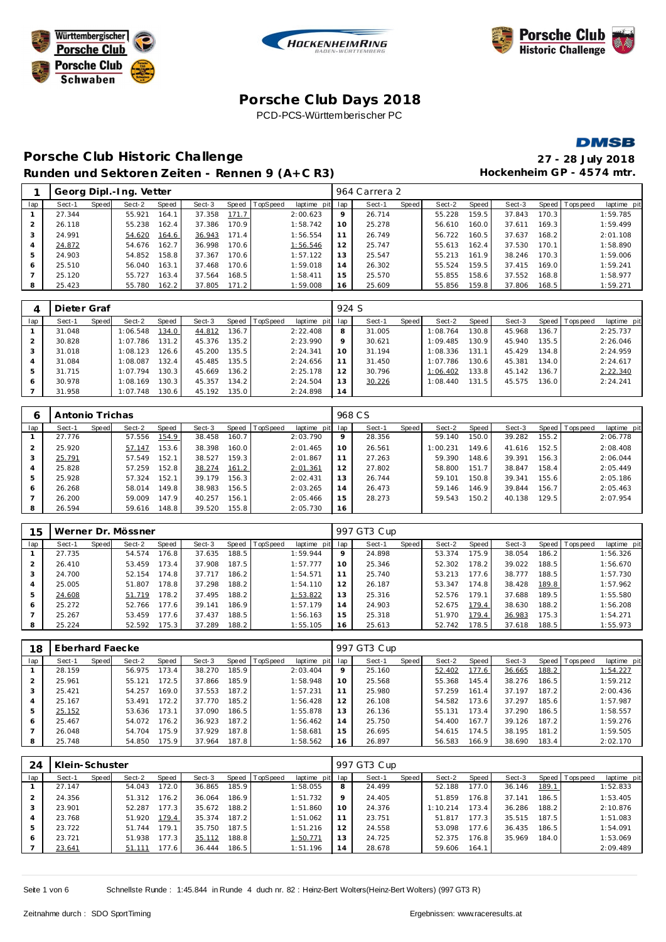





**DMSB** 

## **Porsche C lub Historic Challenge 27 - 28 July 2018** Runden und Sektoren Zeiten - Rennen 9 (A+C R3) Hockenheim GP - 4574 mtr.

|     |        |       | Georg Dipl.-Ing. Vetter |       |        |       |                |                 |    | 964 Carrera 2 |       |        |       |        |       |                |             |
|-----|--------|-------|-------------------------|-------|--------|-------|----------------|-----------------|----|---------------|-------|--------|-------|--------|-------|----------------|-------------|
| lap | Sect-1 | Speed | Sect-2                  | Speed | Sect-3 |       | Speed TopSpeed | laptime pit lap |    | Sect-1        | Speed | Sect-2 | Speed | Sect-3 |       | Speed Topspeed | laptime pit |
|     | 27.344 |       | 55.921                  | 164.1 | 37.358 | 171.7 |                | 2:00.623        | 9  | 26.714        |       | 55.228 | 159.5 | 37.843 | 170.3 |                | 1:59.785    |
|     | 26.118 |       | 55.238                  | 162.4 | 37.386 | 170.9 |                | 1:58.742        | 10 | 25.278        |       | 56.610 | 160.0 | 37.611 | 169.3 |                | 1:59.499    |
|     | 24.991 |       | 54.620                  | 164.6 | 36.943 | 171.4 |                | 1:56.554        | 11 | 26.749        |       | 56.722 | 160.5 | 37.637 | 168.2 |                | 2:01.108    |
| 4   | 24.872 |       | 54.676                  | 162.7 | 36.998 | 170.6 |                | 1:56.546        | 12 | 25.747        |       | 55.613 | 162.4 | 37.530 | 170.1 |                | 1:58.890    |
| 5   | 24.903 |       | 54.852                  | 158.8 | 37.367 | 170.6 |                | 1:57.122        | 13 | 25.547        |       | 55.213 | 161.9 | 38.246 | 170.3 |                | 1:59.006    |
| 6   | 25.510 |       | 56.040                  | 163.1 | 37.468 | 170.6 |                | 1:59.018        | 14 | 26.302        |       | 55.524 | 159.5 | 37.415 | 169.0 |                | 1:59.241    |
|     | 25.120 |       | 55.727                  | 163.4 | 37.564 | 168.5 |                | 1:58.411        | 15 | 25.570        |       | 55.855 | 158.6 | 37.552 | 168.8 |                | 1:58.977    |
| -8  | 25.423 |       | 55.780                  | 162.2 | 37.805 | 171.2 |                | 1:59.008        | 16 | 25.609        |       | 55.856 | 159.8 | 37.806 | 168.5 |                | 1:59.271    |
|     |        |       |                         |       |        |       |                |                 |    |               |       |        |       |        |       |                |             |

|     | Dieter Graf |       |          |       |        |       |                |             | 924 S |        |       |          |       |        |       |                |             |
|-----|-------------|-------|----------|-------|--------|-------|----------------|-------------|-------|--------|-------|----------|-------|--------|-------|----------------|-------------|
| lap | Sect-1      | Speed | Sect-2   | Speed | Sect-3 |       | Speed TopSpeed | laptime pit | lap   | Sect-1 | Speed | Sect-2   | Speed | Sect-3 |       | Speed Topspeed | laptime pit |
|     | 31.048      |       | 1:06.548 | 134.0 | 44.812 | 136.7 |                | 2:22.408    | 8     | 31.005 |       | 1:08.764 | 130.8 | 45.968 | 136.7 |                | 2:25.737    |
|     | 30.828      |       | 1:07.786 | 131.2 | 45.376 | 135.2 |                | 2:23.990    | 9     | 30.621 |       | 1:09.485 | 130.9 | 45.940 | 135.5 |                | 2:26.046    |
|     | 31.018      |       | 1:08.123 | 126.6 | 45.200 | 135.5 |                | 2:24.341    | 10    | 31.194 |       | 1:08.336 | 131.1 | 45.429 | 134.8 |                | 2:24.959    |
|     | 31.084      |       | 1:08.087 | 132.4 | 45.485 | 135.5 |                | 2:24.656    | 11    | 31.450 |       | 1:07.786 | 130.6 | 45.381 | 134.0 |                | 2:24.617    |
| 5   | 31.715      |       | 1:07.794 | 130.3 | 45.669 | 136.2 |                | 2:25.178    | 12    | 30.796 |       | 1:06.402 | 133.8 | 45.142 | 136.7 |                | 2:22.340    |
| 6   | 30.978      |       | 1:08.169 | 130.3 | 45.357 | 134.2 |                | 2:24.504    | 13    | 30.226 |       | 1:08.440 | 131.5 | 45.575 | 136.0 |                | 2:24.241    |
|     | 31.958      |       | 1:07.748 | 30.6  | 45.192 | 135.0 |                | 2:24.898    | 14    |        |       |          |       |        |       |                |             |

| Ô   | Antonio Trichas |       |        |       |        |       |                |                 |    | 968 C S |       |          |       |        |       |                 |             |
|-----|-----------------|-------|--------|-------|--------|-------|----------------|-----------------|----|---------|-------|----------|-------|--------|-------|-----------------|-------------|
| lap | Sect-1          | Speed | Sect-2 | Speed | Sect-3 |       | Speed TopSpeed | laptime pit lap |    | Sect-1  | Speed | Sect-2   | Speed | Sect-3 |       | Speed Tops peed | laptime pit |
|     | 27.776          |       | 57.556 | 154.9 | 38.458 | 160.7 |                | 2:03.790        | 9  | 28.356  |       | 59.140   | 150.0 | 39.282 | 155.2 |                 | 2:06.778    |
|     | 25.920          |       | 57.147 | 153.6 | 38.398 | 160.0 |                | 2:01.465        | 10 | 26.561  |       | 1:00.231 | 149.6 | 41.616 | 152.5 |                 | 2:08.408    |
| 3   | 25.791          |       | 57.549 | 152.1 | 38.527 | 159.3 |                | 2:01.867        | 11 | 27.263  |       | 59.390   | 148.6 | 39.391 | 156.3 |                 | 2:06.044    |
|     | 25.828          |       | 57.259 | 152.8 | 38.274 | 161.2 |                | 2:01.361        | 12 | 27.802  |       | 58.800   | 151.7 | 38.847 | 158.4 |                 | 2:05.449    |
| 5   | 25.928          |       | 57.324 | 152.1 | 39.179 | 156.3 |                | 2:02.431        | 13 | 26.744  |       | 59.101   | 150.8 | 39.341 | 155.6 |                 | 2:05.186    |
| O   | 26.268          |       | 58.014 | 149.8 | 38.983 | 156.5 |                | 2:03.265        | 14 | 26.473  |       | 59.146   | 146.9 | 39.844 | 156.7 |                 | 2:05.463    |
|     | 26.200          |       | 59.009 | 147.9 | 40.257 | 156.1 |                | 2:05.466        | 15 | 28.273  |       | 59.543   | 150.2 | 40.138 | 129.5 |                 | 2:07.954    |
| 8   | 26.594          |       | 59.616 | 148.8 | 39.520 | 155.8 |                | 2:05.730        | 16 |         |       |          |       |        |       |                 |             |

| 15             |        |       | Werner Dr. Mössner |       |        |       |                |             |     | 997 GT3 Cup |       |        |       |        |       |                 |             |
|----------------|--------|-------|--------------------|-------|--------|-------|----------------|-------------|-----|-------------|-------|--------|-------|--------|-------|-----------------|-------------|
| lap            | Sect-1 | Speed | Sect-2             | Speed | Sect-3 |       | Speed TopSpeed | laptime pit | lap | Sect-1      | Speed | Sect-2 | Speed | Sect-3 |       | Speed Tops peed | laptime pit |
|                | 27.735 |       | 54.574             | 176.8 | 37.635 | 188.5 |                | 1:59.944    | 9   | 24.898      |       | 53.374 | 175.9 | 38.054 | 186.2 |                 | 1:56.326    |
| 2              | 26.410 |       | 53.459             | 173.4 | 37.908 | 187.5 |                | 1:57.777    | 10  | 25.346      |       | 52.302 | 178.2 | 39.022 | 188.5 |                 | 1:56.670    |
| 3              | 24.700 |       | 52.154             | 174.8 | 37.717 | 186.2 |                | 1:54.571    | 11  | 25.740      |       | 53.213 | 177.6 | 38.777 | 188.5 |                 | 1:57.730    |
| $\overline{4}$ | 25.005 |       | 51.807             | 178.8 | 37.298 | 188.2 |                | 1:54.110    | 12  | 26.187      |       | 53.347 | 174.8 | 38.428 | 189.8 |                 | 1:57.962    |
| 5              | 24.608 |       | 51.719             | 178.2 | 37.495 | 188.2 |                | 1:53.822    | 13  | 25.316      |       | 52.576 | 179.1 | 37.688 | 189.5 |                 | 1:55.580    |
| 6              | 25.272 |       | 52.766             | 177.6 | 39.141 | 186.9 |                | 1:57.179    | 14  | 24.903      |       | 52.675 | 179.4 | 38.630 | 188.2 |                 | 1:56.208    |
|                | 25.267 |       | 53.459             | 177.6 | 37.437 | 188.5 |                | 1:56.163    | 15  | 25.318      |       | 51.970 | 179.4 | 36.983 | 175.3 |                 | 1:54.271    |
| 8              | 25.224 |       | 52.592             | 175.3 | 37.289 | 188.2 |                | 1:55.105    | 16  | 25.613      |       | 52.742 | 178.5 | 37.618 | 188.5 |                 | 1:55.973    |

| 18  | Eberhard Faecke |       |        |       |        |       |                |                 |    | 997 GT3 Cup |       |        |       |        |                    |                |             |
|-----|-----------------|-------|--------|-------|--------|-------|----------------|-----------------|----|-------------|-------|--------|-------|--------|--------------------|----------------|-------------|
| lap | Sect-1          | Speed | Sect-2 | Speed | Sect-3 |       | Speed TopSpeed | laptime pit lap |    | Sect-1      | Speed | Sect-2 | Speed | Sect-3 |                    | Speed Topspeed | laptime pit |
|     | 28.159          |       | 56.975 | 173.4 | 38.270 | 185.9 |                | 2:03.404        | Q  | 25.160      |       | 52.402 | 177.6 | 36.665 | 188.2              |                | 1:54.227    |
|     | 25.961          |       | 55.121 | 172.5 | 37.866 | 185.9 |                | 1:58.948        | 10 | 25.568      |       | 55.368 | 145.4 | 38.276 | 186.5              |                | 1:59.212    |
|     | 25.421          |       | 54.257 | 169.0 | 37.553 | 187.2 |                | 1:57.231        |    | 25.980      |       | 57.259 | 161.4 | 37.197 | 187.2              |                | 2:00.436    |
| 4   | 25.167          |       | 53.491 | 172.2 | 37.770 | 185.2 |                | 1:56.428        | 12 | 26.108      |       | 54.582 | 173.6 | 37.297 | 185.6              |                | 1:57.987    |
| 5   | 25.152          |       | 53.636 | 173.1 | 37.090 | 186.5 |                | 1:55.878        | 13 | 26.136      |       | 55.131 | 173.4 | 37.290 | 186.5 <sub>1</sub> |                | 1:58.557    |
| 6   | 25.467          |       | 54.072 | 176.2 | 36.923 | 187.2 |                | 1:56.462        | 14 | 25.750      |       | 54.400 | 167.7 | 39.126 | 187.2              |                | 1:59.276    |
|     | 26.048          |       | 54.704 | 175.9 | 37.929 | 187.8 |                | 1:58.681        | 15 | 26.695      |       | 54.615 | 174.5 | 38.195 | 181.2              |                | 1:59.505    |
| 8   | 25.748          |       | 54.850 | 175.9 | 37.964 | 187.8 |                | 1:58.562        | 16 | 26.897      |       | 56.583 | 166.9 | 38.690 | 183.4              |                | 2:02.170    |

| 24  | Klein-Schuster |       |        |       |        |                    |                |                 |    | 997 GT3 Cup |       |          |       |        |       |                   |             |
|-----|----------------|-------|--------|-------|--------|--------------------|----------------|-----------------|----|-------------|-------|----------|-------|--------|-------|-------------------|-------------|
| lap | Sect-1         | Speed | Sect-2 | Speed | Sect-3 |                    | Speed TopSpeed | laptime pit lap |    | Sect-1      | Speed | Sect-2   | Speed | Sect-3 |       | Speed   Tops peed | laptime pit |
|     | 27.147         |       | 54.043 | 172.0 | 36.865 | 185.9              |                | 1:58.055        | 8  | 24.499      |       | 52.188   | 177.0 | 36.146 | 189.1 |                   | 1:52.833    |
|     | 24.356         |       | 51.312 | 176.2 | 36.064 | 186.9              |                | 1:51.732        | 9  | 24.405      |       | 51.859   | 176.8 | 37.141 | 186.5 |                   | 1:53.405    |
|     | 23.901         |       | 52.287 | 177.3 | 35.672 | 188.2 <sub>1</sub> |                | 1:51.860        | 10 | 24.376      |       | 1:10.214 | 173.4 | 36.286 | 188.2 |                   | 2:10.876    |
| 4   | 23.768         |       | 51.920 | 179.4 | 35.374 | 187.2              |                | 1:51.062        | 11 | 23.751      |       | 51.817   | 177.3 | 35.515 | 187.5 |                   | 1:51.083    |
| 5   | 23.722         |       | 51.744 | 179.1 | 35.750 | 187.5              |                | 1:51.216        | 12 | 24.558      |       | 53.098   | 177.6 | 36.435 | 186.5 |                   | 1:54.091    |
| 6   | 23.721         |       | 51.938 | 177.3 | 35.112 | 188.8              |                | 1:50.771        | 13 | 24.725      |       | 52.375   | 176.8 | 35.969 | 184.0 |                   | 1:53.069    |
|     | 23.641         |       | 51.111 | 177.6 | 36.444 | 186.5              |                | 1:51.196        | 14 | 28.678      |       | 59.606   | 164.1 |        |       |                   | 2:09.489    |

Seite 1 von 6 Schnellste Runde : 1:45.844 in Runde 4 duch nr. 82 : Heinz-Bert Wolters(Heinz-Bert Wolters) (997 GT3 R)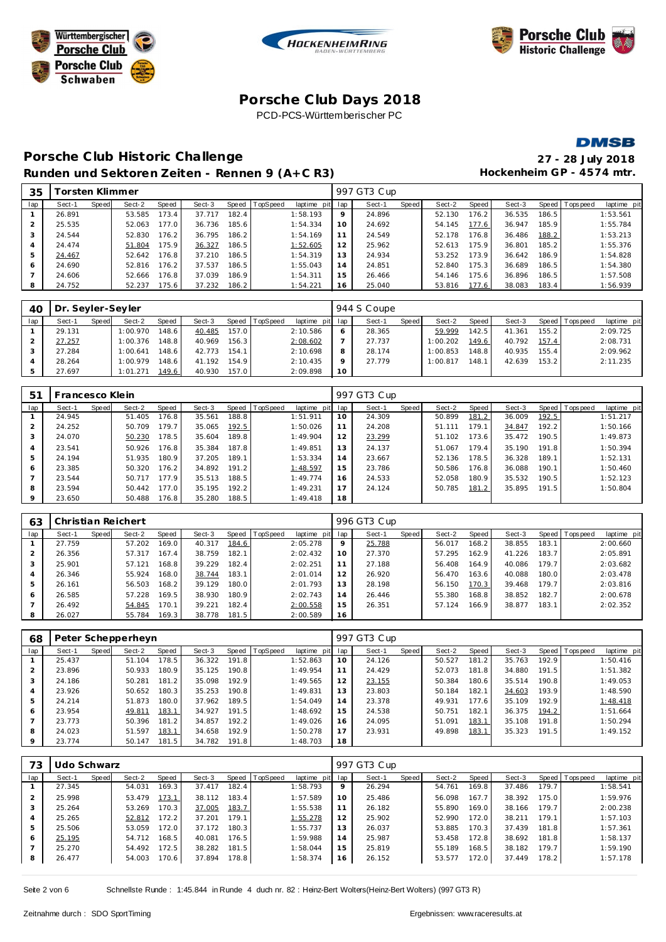





#### **DMSB**

## **Porsche C lub Historic Challenge 27 - 28 July 2018** Runden und Sektoren Zeiten - Rennen 9 (A+C R3) Hockenheim GP - 4574 mtr.

| 35             | <sup>-</sup> orsten Klimmer |       |        |       |        |       |          |             |     | 997 GT3 Cup |       |        |       |        |       |                |             |
|----------------|-----------------------------|-------|--------|-------|--------|-------|----------|-------------|-----|-------------|-------|--------|-------|--------|-------|----------------|-------------|
| lap            | Sect-1                      | Speed | Sect-2 | Speed | Sect-3 | Speed | TopSpeed | laptime pit | lap | Sect-1      | Speed | Sect-2 | Speed | Sect-3 |       | Speed Topspeed | laptime pit |
|                | 26.891                      |       | 53.585 | 173.4 | 37.717 | 182.4 |          | 1:58.193    | 9   | 24.896      |       | 52.130 | 176.2 | 36.535 | 186.5 |                | 1:53.561    |
|                | 25.535                      |       | 52.063 | 177.0 | 36.736 | 185.6 |          | 1:54.334    | 10  | 24.692      |       | 54.145 | 177.6 | 36.947 | 185.9 |                | 1:55.784    |
| 3              | 24.544                      |       | 52.830 | 176.2 | 36.795 | 186.2 |          | 1:54.169    | 11  | 24.549      |       | 52.178 | 176.8 | 36.486 | 188.2 |                | 1:53.213    |
| $\overline{A}$ | 24.474                      |       | 51.804 | 175.9 | 36.327 | 186.5 |          | 1:52.605    | 12  | 25.962      |       | 52.613 | 175.9 | 36.801 | 185.2 |                | 1:55.376    |
| 5              | 24.467                      |       | 52.642 | 176.8 | 37.210 | 186.5 |          | 1:54.319    | 13  | 24.934      |       | 53.252 | 173.9 | 36.642 | 186.9 |                | 1:54.828    |
| 6              | 24.690                      |       | 52.816 | 176.2 | 37.537 | 186.5 |          | 1:55.043    | 14  | 24.851      |       | 52.840 | 175.3 | 36.689 | 186.5 |                | 1:54.380    |
|                | 24.606                      |       | 52.666 | 176.8 | 37.039 | 186.9 |          | 1:54.311    | 15  | 26.466      |       | 54.146 | 175.6 | 36.896 | 186.5 |                | 1:57.508    |
| 8              | 24.752                      |       | 52.237 | 175.6 | 37.232 | 186.2 |          | 1:54.221    | 16  | 25.040      |       | 53.816 | 177.6 | 38.083 | 183.4 |                | 1:56.939    |
|                |                             |       |        |       |        |       |          |             |     |             |       |        |       |        |       |                |             |

| 40  | Dr. Seyler-Seyler |       |          |       |        |       |                |                 |         | 944 S Coupe |       |          |       |        |       |                 |             |
|-----|-------------------|-------|----------|-------|--------|-------|----------------|-----------------|---------|-------------|-------|----------|-------|--------|-------|-----------------|-------------|
| lap | Sect-1            | Speed | Sect-2   | Speed | Sect-3 |       | Speed TopSpeed | laptime pit lap |         | Sect-1      | Speed | Sect-2   | Speed | Sect-3 |       | Speed Tops peed | laptime pit |
|     | 29.131            |       | 1:00.970 | 148.6 | 40.485 | 157.0 |                | 2:10.586        | 6       | 28.365      |       | 59.999   | 142.5 | 41.361 | 155.2 |                 | 2:09.725    |
|     | 27.257            |       | 1:00.376 | 148.8 | 40.969 | 156.3 |                | 2:08.602        |         | 27.737      |       | 1:00.202 | 149.6 | 40.792 | 157.4 |                 | 2:08.731    |
|     | 27.284            |       | 1:00.641 | 148.6 | 42.773 | 154.1 |                | 2:10.698        | 8       | 28.174      |       | 1:00.853 | 148.8 | 40.935 | 155.4 |                 | 2:09.962    |
|     | 28.264            |       | 1:00.979 | 148.6 | 41.192 | 154.9 |                | 2:10.435        | $\circ$ | 27.779      |       | 1:00.817 | 148.1 | 42.639 | 153.2 |                 | 2:11.235    |
|     | 27.697            |       | 1:01.271 | 149.6 | 40.930 | 157.0 |                | 2:09.898        | 10      |             |       |          |       |        |       |                 |             |

| 51  | Francesco Klein |       |        |       |        |       |                |             |     | 997 GT3 Cup |       |        |       |        |       |                 |             |
|-----|-----------------|-------|--------|-------|--------|-------|----------------|-------------|-----|-------------|-------|--------|-------|--------|-------|-----------------|-------------|
| lap | Sect-1          | Speed | Sect-2 | Speed | Sect-3 |       | Speed TopSpeed | laptime pit | lap | Sect-1      | Speed | Sect-2 | Speed | Sect-3 |       | Speed Tops peed | laptime pit |
|     | 24.945          |       | 51.405 | 176.8 | 35.561 | 188.8 |                | 1:51.911    | 10  | 24.309      |       | 50.899 | 181.2 | 36.009 | 192.5 |                 | 1:51.217    |
| 2   | 24.252          |       | 50.709 | 179.7 | 35.065 | 192.5 |                | 1:50.026    | 11  | 24.208      |       | 51.111 | 179.1 | 34.847 | 192.2 |                 | 1:50.166    |
| 3   | 24.070          |       | 50.230 | 178.5 | 35.604 | 189.8 |                | 1:49.904    | 12  | 23.299      |       | 51.102 | 173.6 | 35.472 | 190.5 |                 | 1:49.873    |
| 4   | 23.541          |       | 50.926 | 176.8 | 35.384 | 187.8 |                | 1:49.851    | 13  | 24.137      |       | 51.067 | 179.4 | 35.190 | 191.8 |                 | 1:50.394    |
| 5   | 24.194          |       | 51.935 | 180.9 | 37.205 | 189.1 |                | 1:53.334    | 14  | 23.667      |       | 52.136 | 178.5 | 36.328 | 189.1 |                 | 1:52.131    |
| 6   | 23.385          |       | 50.320 | 176.2 | 34.892 | 191.2 |                | 1:48.597    | 15  | 23.786      |       | 50.586 | 176.8 | 36.088 | 190.1 |                 | 1:50.460    |
|     | 23.544          |       | 50.717 | 177.9 | 35.513 | 188.5 |                | 1:49.774    | 16  | 24.533      |       | 52.058 | 180.9 | 35.532 | 190.5 |                 | 1:52.123    |
| 8   | 23.594          |       | 50.442 | 177.0 | 35.195 | 192.2 |                | 1:49.231    | 17  | 24.124      |       | 50.785 | 181.2 | 35.895 | 191.5 |                 | 1:50.804    |
| 9   | 23.650          |       | 50.488 | 176.8 | 35.280 | 188.5 |                | 1:49.418    | 18  |             |       |        |       |        |       |                 |             |

| 63  |        |       | Christian Reichert |       |        |       |                  |                 |    | 996 GT3 Cup |       |        |       |        |       |                |             |
|-----|--------|-------|--------------------|-------|--------|-------|------------------|-----------------|----|-------------|-------|--------|-------|--------|-------|----------------|-------------|
| lap | Sect-1 | Speed | Sect-2             | Speed | Sect-3 |       | Speed   TopSpeed | laptime pit lap |    | Sect-1      | Speed | Sect-2 | Speed | Sect-3 |       | Speed Topspeed | laptime pit |
|     | 27.759 |       | 57.202             | 169.0 | 40.317 | 184.6 |                  | 2:05.278        | 9  | 25.788      |       | 56.017 | 168.2 | 38.855 | 183.1 |                | 2:00.660    |
|     | 26.356 |       | 57.317             | 167.4 | 38.759 | 182.1 |                  | 2:02.432        | 10 | 27.370      |       | 57.295 | 162.9 | 41.226 | 183.7 |                | 2:05.891    |
| 3   | 25.901 |       | 57.121             | 168.8 | 39.229 | 182.4 |                  | 2:02.251        | 11 | 27.188      |       | 56.408 | 164.9 | 40.086 | 179.7 |                | 2:03.682    |
| 4   | 26.346 |       | 55.924             | 168.0 | 38.744 | 183.1 |                  | 2:01.014        | 12 | 26.920      |       | 56.470 | 163.6 | 40.088 | 180.0 |                | 2:03.478    |
| 5   | 26.161 |       | 56.503             | 168.2 | 39.129 | 180.0 |                  | 2:01.793        | 13 | 28.198      |       | 56.150 | 170.3 | 39.468 | 179.7 |                | 2:03.816    |
| 6   | 26.585 |       | 57.228             | 169.5 | 38.930 | 180.9 |                  | 2:02.743        | 14 | 26.446      |       | 55.380 | 168.8 | 38.852 | 182.7 |                | 2:00.678    |
|     | 26.492 |       | 54.845             | 170.1 | 39.221 | 182.4 |                  | 2:00.558        | 15 | 26.351      |       | 57.124 | 166.9 | 38.877 | 183.1 |                | 2:02.352    |
| 8   | 26.027 |       | 55.784             | 169.3 | 38.778 | 181.5 |                  | 2:00.589        | 16 |             |       |        |       |        |       |                |             |

| 68      |        |       | Peter Schepperheyn |       |        |       |                |             |     | 997 GT3 Cup |       |        |       |        |       |                |             |
|---------|--------|-------|--------------------|-------|--------|-------|----------------|-------------|-----|-------------|-------|--------|-------|--------|-------|----------------|-------------|
| lap     | Sect-1 | Speed | Sect-2             | Speed | Sect-3 |       | Speed TopSpeed | laptime pit | lap | Sect-1      | Speed | Sect-2 | Speed | Sect-3 |       | Speed Topspeed | laptime pit |
|         | 25.437 |       | 51.104             | 178.5 | 36.322 | 191.8 |                | 1:52.863    | 10  | 24.126      |       | 50.527 | 181.2 | 35.763 | 192.9 |                | 1:50.416    |
|         | 23.896 |       | 50.933             | 180.9 | 35.125 | 190.8 |                | 1:49.954    | 11  | 24.429      |       | 52.073 | 181.8 | 34.880 | 191.5 |                | 1:51.382    |
| 3       | 24.186 |       | 50.281             | 181.2 | 35.098 | 192.9 |                | 1:49.565    | 12  | 23.155      |       | 50.384 | 180.6 | 35.514 | 190.8 |                | 1:49.053    |
| 4       | 23.926 |       | 50.652             | 180.3 | 35.253 | 190.8 |                | 1:49.831    | 13  | 23.803      |       | 50.184 | 182.1 | 34.603 | 193.9 |                | 1:48.590    |
| 5       | 24.214 |       | 51.873             | 180.0 | 37.962 | 189.5 |                | 1:54.049    | 14  | 23.378      |       | 49.931 | 177.6 | 35.109 | 192.9 |                | 1:48.418    |
| 6       | 23.954 |       | 49.811             | 183.1 | 34.927 | 191.5 |                | 1:48.692    | 15  | 24.538      |       | 50.751 | 182.1 | 36.375 | 194.2 |                | 1:51.664    |
|         | 23.773 |       | 50.396             | 181.2 | 34.857 | 192.2 |                | 1:49.026    | 16  | 24.095      |       | 51.091 | 183.1 | 35.108 | 191.8 |                | 1:50.294    |
| 8       | 24.023 |       | 51.597             | 183.1 | 34.658 | 192.9 |                | 1:50.278    | 17  | 23.931      |       | 49.898 | 183.1 | 35.323 | 191.5 |                | 1:49.152    |
| $\circ$ | 23.774 |       | 50.147             | 181.5 | 34.782 | 191.8 |                | 1:48.703    | 18  |             |       |        |       |        |       |                |             |

| 73  | Udo Schwarz |       |        |       |        |       |                |             |                 | 997 GT3 Cup |       |        |         |        |       |                |             |
|-----|-------------|-------|--------|-------|--------|-------|----------------|-------------|-----------------|-------------|-------|--------|---------|--------|-------|----------------|-------------|
| lap | Sect-1      | Speed | Sect-2 | Speed | Sect-3 |       | Speed TopSpeed | laptime pit | lap             | Sect-1      | Speed | Sect-2 | Speed ' | Sect-3 |       | Speed Topspeed | laptime pit |
|     | 27.345      |       | 54.031 | 169.3 | 37.417 | 182.4 |                | 1:58.793    | 9               | 26.294      |       | 54.761 | 169.8   | 37.486 | 179.7 |                | 1:58.541    |
|     | 25.998      |       | 53.479 | 173.1 | 38.112 | 183.4 |                | 1:57.589    | 10              | 25.486      |       | 56.098 | 167.7   | 38.392 | 175.0 |                | 1:59.976    |
| 3   | 25.264      |       | 53.269 | 170.3 | 37.005 | 183.7 |                | 1:55.538    | 11              | 26.182      |       | 55.890 | 169.0   | 38.166 | 179.7 |                | 2:00.238    |
| 4   | 25.265      |       | 52.812 | 172.2 | 37.201 | 179.1 |                | 1:55.278    | 12              | 25.902      |       | 52.990 | 172.0   | 38.211 | 179.1 |                | 1:57.103    |
| 5   | 25.506      |       | 53.059 | 172.0 | 37.172 | 180.3 |                | 1:55.737    | 13 <sup>7</sup> | 26.037      |       | 53.885 | 170.3   | 37.439 | 181.8 |                | 1:57.361    |
| 6   | 25.195      |       | 54.712 | 168.5 | 40.081 | 176.5 |                | 1:59.988    | 14              | 25.987      |       | 53.458 | 172.8   | 38.692 | 181.8 |                | 1:58.137    |
|     | 25.270      |       | 54.492 | 172.5 | 38.282 | 181.5 |                | 1:58.044    | 15              | 25.819      |       | 55.189 | 168.5   | 38.182 | 179.7 |                | 1:59.190    |
| 8   | 26.477      |       | 54.003 | 170.6 | 37.894 | 178.8 |                | 1:58.374    | 6               | 26.152      |       | 53.577 | 172.0   | 37.449 | 178.2 |                | 1:57.178    |

Seite 2 von 6 Schnellste Runde : 1:45.844 in Runde 4 duch nr. 82 : Heinz-Bert Wolters(Heinz-Bert Wolters) (997 GT3 R)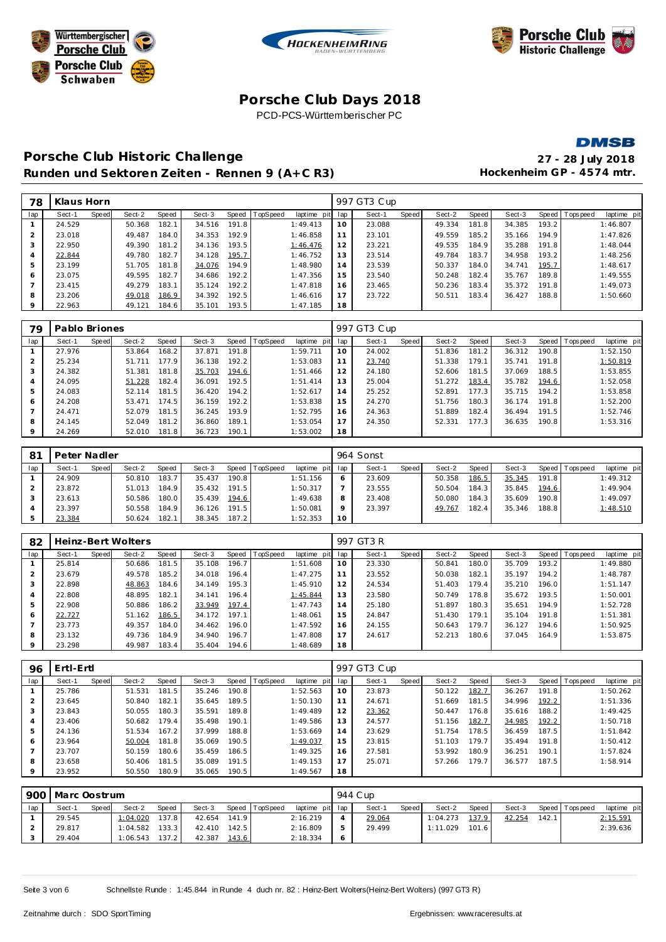





**DMSB** 

## **Porsche C lub Historic Challenge 27 - 28 July 2018** Runden und Sektoren Zeiten - Rennen 9 (A+C R3) Hockenheim GP - 4574 mtr.

| 78             | Klaus Horn |       |        |       |        |       |                  |             |     | 997 GT3 Cup |       |        |       |        |       |                 |             |  |
|----------------|------------|-------|--------|-------|--------|-------|------------------|-------------|-----|-------------|-------|--------|-------|--------|-------|-----------------|-------------|--|
| lap            | Sect-1     | Speed | Sect-2 | Speed | Sect-3 |       | Speed   TopSpeed | laptime pit | lap | Sect-1      | Speed | Sect-2 | Speed | Sect-3 |       | Speed Tops peed | laptime pit |  |
|                | 24.529     |       | 50.368 | 182.1 | 34.516 | 191.8 |                  | 1:49.413    | 10  | 23.088      |       | 49.334 | 181.8 | 34.385 | 193.2 |                 | 1:46.807    |  |
| $\overline{2}$ | 23.018     |       | 49.487 | 184.0 | 34.353 | 192.9 |                  | 1:46.858    | 11  | 23.101      |       | 49.559 | 185.2 | 35.166 | 194.9 |                 | 1:47.826    |  |
| 3              | 22.950     |       | 49.390 | 181.2 | 34.136 | 193.5 |                  | 1:46.476    | 12  | 23.221      |       | 49.535 | 184.9 | 35.288 | 191.8 |                 | 1:48.044    |  |
| 4              | 22.844     |       | 49.780 | 182.7 | 34.128 | 195.7 |                  | 1:46.752    | 13  | 23.514      |       | 49.784 | 183.7 | 34.958 | 193.2 |                 | 1:48.256    |  |
| 5              | 23.199     |       | 51.705 | 181.8 | 34.076 | 194.9 |                  | 1:48.980    | 14  | 23.539      |       | 50.337 | 184.0 | 34.741 | 195.7 |                 | 1:48.617    |  |
| 6              | 23.075     |       | 49.595 | 182.7 | 34.686 | 192.2 |                  | 1:47.356    | 15  | 23.540      |       | 50.248 | 182.4 | 35.767 | 189.8 |                 | 1:49.555    |  |
| $\overline{7}$ | 23.415     |       | 49.279 | 183.1 | 35.124 | 192.2 |                  | 1:47.818    | 16  | 23.465      |       | 50.236 | 183.4 | 35.372 | 191.8 |                 | 1:49.073    |  |
| 8              | 23.206     |       | 49.018 | 186.9 | 34.392 | 192.5 |                  | 1:46.616    | 17  | 23.722      |       | 50.511 | 183.4 | 36.427 | 188.8 |                 | 1:50.660    |  |
| 9              | 22.963     |       | 49.121 | 184.6 | 35.101 | 193.5 |                  | 1:47.185    | 18  |             |       |        |       |        |       |                 |             |  |

| 79             | Pablo Briones |       |        |       |        |       |                 |             |     | 997 GT3 Cup |       |        |       |        |       |                 |             |
|----------------|---------------|-------|--------|-------|--------|-------|-----------------|-------------|-----|-------------|-------|--------|-------|--------|-------|-----------------|-------------|
| lap            | Sect-1        | Speed | Sect-2 | Speed | Sect-3 | Speed | <b>TopSpeed</b> | laptime pit | lap | Sect-1      | Speed | Sect-2 | Speed | Sect-3 |       | Speed Tops peed | laptime pit |
|                | 27.976        |       | 53.864 | 168.2 | 37.871 | 191.8 |                 | 1:59.711    | 10  | 24.002      |       | 51.836 | 181.2 | 36.312 | 190.8 |                 | 1:52.150    |
| 2              | 25.234        |       | 51.711 | 177.9 | 36.138 | 192.2 |                 | 1:53.083    |     | 23.740      |       | 51.338 | 179.1 | 35.741 | 191.8 |                 | 1:50.819    |
| 3              | 24.382        |       | 51.381 | 181.8 | 35.703 | 194.6 |                 | 1:51.466    | 12  | 24.180      |       | 52.606 | 181.5 | 37.069 | 188.5 |                 | 1:53.855    |
| 4              | 24.095        |       | 51.228 | 182.4 | 36.091 | 192.5 |                 | 1:51.414    | 13  | 25.004      |       | 51.272 | 183.4 | 35.782 | 194.6 |                 | 1:52.058    |
| 5              | 24.083        |       | 52.114 | 181.5 | 36.420 | 194.2 |                 | 1:52.617    | 14  | 25.252      |       | 52.891 | 177.3 | 35.715 | 194.2 |                 | 1:53.858    |
| 6              | 24.208        |       | 53.471 | 174.5 | 36.159 | 192.2 |                 | 1:53.838    | 15  | 24.270      |       | 51.756 | 180.3 | 36.174 | 191.8 |                 | 1:52.200    |
| $\overline{7}$ | 24.471        |       | 52.079 | 181.5 | 36.245 | 193.9 |                 | 1:52.795    | 16  | 24.363      |       | 51.889 | 182.4 | 36.494 | 191.5 |                 | 1:52.746    |
| 8              | 24.145        |       | 52.049 | 181.2 | 36.860 | 189.1 |                 | 1:53.054    | 17  | 24.350      |       | 52.331 | 177.3 | 36.635 | 190.8 |                 | 1:53.316    |
| $\circ$        | 24.269        |       | 52.010 | 181.8 | 36.723 | 190.1 |                 | 1:53.002    | 18  |             |       |        |       |        |       |                 |             |

| 81  | Peter Nadler    |        |       |        |       |                |                 |         | 964 Sonst |              |        |       |        |       |                 |             |
|-----|-----------------|--------|-------|--------|-------|----------------|-----------------|---------|-----------|--------------|--------|-------|--------|-------|-----------------|-------------|
| lap | Sect-1<br>Speed | Sect-2 | Speed | Sect-3 |       | Speed TopSpeed | laptime pit lap |         | Sect-1    | <b>Speed</b> | Sect-2 | Speed | Sect-3 |       | Speed Tops peed | laptime pit |
|     | 24.909          | 50.810 | 183.7 | 35.437 | 190.8 |                | I: 51.156       | O       | 23.609    |              | 50.358 | 186.5 | 35.345 | 191.8 |                 | 1:49.312    |
|     | 23.872          | 51.013 | 184.9 | 35.432 | 191.5 |                | 1:50.317        |         | 23.555    |              | 50.504 | 184.3 | 35.845 | 194.6 |                 | 1:49.904    |
|     | 23.613          | 50.586 | 180.0 | 35.439 | 194.6 |                | 1:49.638        | 8       | 23.408    |              | 50.080 | 184.3 | 35.609 | 190.8 |                 | 1:49.097    |
|     | 23.397          | 50.558 | 184.9 | 36.126 | 191.5 |                | 1:50.081        | $\circ$ | 23.397    |              | 49.767 | 182.4 | 35.346 | 188.8 |                 | 1:48.510    |
|     | 23.384          | 50.624 | 182.1 | 38.345 | 187.2 |                | 1:52.353        | 10      |           |              |        |       |        |       |                 |             |

| 82             |        |       | Heinz-Bert Wolters |       |        |       |                |             |     | 997 GT3 R |       |        |       |        |       |                 |             |
|----------------|--------|-------|--------------------|-------|--------|-------|----------------|-------------|-----|-----------|-------|--------|-------|--------|-------|-----------------|-------------|
| lap            | Sect-1 | Speed | Sect-2             | Speed | Sect-3 |       | Speed TopSpeed | laptime pit | lap | Sect-1    | Speed | Sect-2 | Speed | Sect-3 |       | Speed Tops peed | laptime pit |
|                | 25.814 |       | 50.686             | 181.5 | 35.108 | 196.7 |                | 1:51.608    | 10  | 23.330    |       | 50.841 | 180.0 | 35.709 | 193.2 |                 | 1:49.880    |
|                | 23.679 |       | 49.578             | 185.2 | 34.018 | 196.4 |                | 1:47.275    | 11  | 23.552    |       | 50.038 | 182.1 | 35.197 | 194.2 |                 | 1:48.787    |
| 3              | 22.898 |       | 48.863             | 184.6 | 34.149 | 195.3 |                | 1:45.910    | 12  | 24.534    |       | 51.403 | 179.4 | 35.210 | 196.0 |                 | 1:51.147    |
| $\overline{4}$ | 22.808 |       | 48.895             | 182.1 | 34.141 | 196.4 |                | 1:45.844    | 13  | 23.580    |       | 50.749 | 178.8 | 35.672 | 193.5 |                 | 1:50.001    |
| 5              | 22.908 |       | 50.886             | 186.2 | 33.949 | 197.4 |                | 1:47.743    | 14  | 25.180    |       | 51.897 | 180.3 | 35.651 | 194.9 |                 | 1:52.728    |
| 6              | 22.727 |       | 51.162             | 186.5 | 34.172 | 197.1 |                | 1:48.061    | 15  | 24.847    |       | 51.430 | 179.1 | 35.104 | 191.8 |                 | 1:51.381    |
|                | 23.773 |       | 49.357             | 184.0 | 34.462 | 196.0 |                | 1:47.592    | 16  | 24.155    |       | 50.643 | 179.7 | 36.127 | 194.6 |                 | 1:50.925    |
| 8              | 23.132 |       | 49.736             | 184.9 | 34.940 | 196.7 |                | 1:47.808    | 17  | 24.617    |       | 52.213 | 180.6 | 37.045 | 164.9 |                 | 1:53.875    |
| $\circ$        | 23.298 |       | 49.987             | 183.4 | 35.404 | 194.6 |                | 1:48.689    | 18  |           |       |        |       |        |       |                 |             |

| 96      | Ertl-Ertl |       |        |       |        |       |          |                 |    | 997 GT3 Cup |       |        |       |        |       |                |             |
|---------|-----------|-------|--------|-------|--------|-------|----------|-----------------|----|-------------|-------|--------|-------|--------|-------|----------------|-------------|
| lap     | Sect-1    | Speed | Sect-2 | Speed | Sect-3 | Speed | TopSpeed | laptime pit lap |    | Sect-1      | Speed | Sect-2 | Speed | Sect-3 |       | Speed Topspeed | laptime pit |
|         | 25.786    |       | 51.531 | 181.5 | 35.246 | 190.8 |          | 1:52.563        | 10 | 23.873      |       | 50.122 | 182.7 | 36.267 | 191.8 |                | 1:50.262    |
|         | 23.645    |       | 50.840 | 182.1 | 35.645 | 189.5 |          | 1:50.130        | 11 | 24.671      |       | 51.669 | 181.5 | 34.996 | 192.2 |                | 1:51.336    |
|         | 23.843    |       | 50.055 | 180.3 | 35.591 | 189.8 |          | 1:49.489        | 12 | 23.362      |       | 50.447 | 176.8 | 35.616 | 188.2 |                | 1:49.425    |
|         | 23.406    |       | 50.682 | 179.4 | 35.498 | 190.1 |          | 1:49.586        | 13 | 24.577      |       | 51.156 | 182.7 | 34.985 | 192.2 |                | 1:50.718    |
|         | 24.136    |       | 51.534 | 167.2 | 37.999 | 188.8 |          | 1:53.669        | 14 | 23.629      |       | 51.754 | 178.5 | 36.459 | 187.5 |                | 1:51.842    |
| 6       | 23.964    |       | 50.004 | 181.8 | 35.069 | 190.5 |          | 1:49.037        | 15 | 23.815      |       | 51.103 | 179.7 | 35.494 | 191.8 |                | 1:50.412    |
|         | 23.707    |       | 50.159 | 180.6 | 35.459 | 186.5 |          | 1:49.325        | 16 | 27.581      |       | 53.992 | 180.9 | 36.251 | 190.1 |                | 1:57.824    |
| 8       | 23.658    |       | 50.406 | 181.5 | 35.089 | 191.5 |          | 1:49.153        | 17 | 25.071      |       | 57.266 | 179.7 | 36.577 | 187.5 |                | 1:58.914    |
| $\circ$ | 23.952    |       | 50.550 | 180.9 | 35.065 | 190.5 |          | 1:49.567        | 18 |             |       |        |       |        |       |                |             |

|     | 900   Marc Oostrum |              |          |       |        |       |                |                 |            | 944 C up |       |          |       |        |       |                |             |
|-----|--------------------|--------------|----------|-------|--------|-------|----------------|-----------------|------------|----------|-------|----------|-------|--------|-------|----------------|-------------|
| lap | Sect-1             | <b>Speed</b> | Sect-2   | Speed | Sect-3 |       | Speed TopSpeed | laptime pit lap |            | Sect-1   | Speed | Sect-2   | Speed | Sect-3 |       | Speed Topspeed | laptime pit |
|     | 29.545             |              | 1:04.020 | 137.8 | 42.654 | 141.9 |                | 2:16.219        |            | 29.064   |       | 1:04.273 | 137.9 | 42.254 | 142.1 |                | 2:15.591    |
|     | 29.817             |              | 1:04.582 | 133.3 | 42.410 | 142.5 |                | 2:16.809        | 5          | 29.499   |       | 1:11.029 | 101.6 |        |       |                | 2:39.636    |
|     | 29.404             |              | 1:06.543 | 137.2 | 42.387 | 143.6 |                | 2:18.334        | $\epsilon$ |          |       |          |       |        |       |                |             |

Seite 3 von 6 Schnellste Runde : 1:45.844 in Runde 4 duch nr. 82 : Heinz-Bert Wolters(Heinz-Bert Wolters) (997 GT3 R)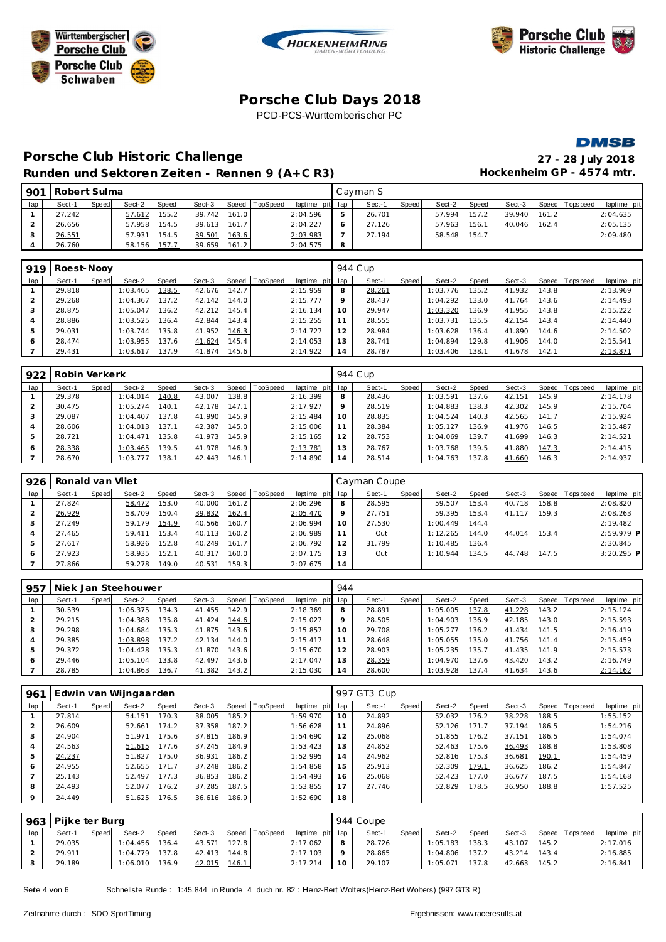





**DMSB** 

## **Porsche C lub Historic Challenge 27 - 28 July 2018** Runden und Sektoren Zeiten - Rennen 9 (A+C R3) Hockenheim GP - 4574 mtr.

| 901 | Robert Sulma |       |        |       |        |       |          |                 |   | Cavman S |       |        |       |        |       |                 |             |
|-----|--------------|-------|--------|-------|--------|-------|----------|-----------------|---|----------|-------|--------|-------|--------|-------|-----------------|-------------|
| lap | Sect-1       | Speed | Sect-2 | Speed | Sect-3 | Speed | TopSpeed | laptime pit lap |   | Sect-1   | Speed | Sect-2 | Speed | Sect-3 |       | Speed Tops peed | laptime pit |
|     | 27.242       |       | 57.612 | 155.2 | 39.742 | 161.0 |          | 2:04.596        |   | 26.701   |       | 57.994 | 157.2 | 39.940 | 161.2 |                 | 2:04.635    |
|     | 26.656       |       | 57.958 | 154.5 | 39.613 | 161.7 |          | 2:04.227        |   | 27.126   |       | 57.963 | 156.1 | 40.046 | 162.4 |                 | 2:05.135    |
|     | 26.551       |       | 57.931 | 154.5 | 39.501 | 163.6 |          | 2:03.983        |   | 27.194   |       | 58.548 | 154.7 |        |       |                 | 2:09.480    |
|     | 26.760       |       | 58.156 | 157.7 | 39.659 | 161.2 |          | 2:04.575        | 8 |          |       |        |       |        |       |                 |             |

| 919 | Roest-Noov |       |          |       |        |       |                  |                 |         | 944 C up |       |          |       |        |       |                 |             |
|-----|------------|-------|----------|-------|--------|-------|------------------|-----------------|---------|----------|-------|----------|-------|--------|-------|-----------------|-------------|
| lap | Sect-1     | Speed | Sect-2   | Speed | Sect-3 |       | Speed   TopSpeed | laptime pit lap |         | Sect-1   | Speed | Sect-2   | Speed | Sect-3 |       | Speed Tops peed | laptime pit |
|     | 29.818     |       | 1:03.465 | 138.5 | 42.676 | 142.7 |                  | 2:15.959        | 8       | 28.261   |       | 1:03.776 | 135.2 | 41.932 | 143.8 |                 | 2:13.969    |
|     | 29.268     |       | 1:04.367 | 137.2 | 42.142 | 144.0 |                  | 2:15.777        | $\circ$ | 28.437   |       | 1:04.292 | 133.0 | 41.764 | 143.6 |                 | 2:14.493    |
| 3   | 28.875     |       | 1:05.047 | 136.2 | 42.212 | 145.4 |                  | 2:16.134        | 10      | 29.947   |       | 1:03.320 | 136.9 | 41.955 | 143.8 |                 | 2:15.222    |
| 4   | 28.886     |       | 1:03.525 | 136.4 | 42.844 | 143.4 |                  | 2:15.255        |         | 28.555   |       | 1:03.731 | 135.5 | 42.154 | 143.4 |                 | 2:14.440    |
| 5   | 29.031     |       | 1:03.744 | 135.8 | 41.952 | 146.3 |                  | 2:14.727        | 12      | 28.984   |       | 1:03.628 | 136.4 | 41.890 | 144.6 |                 | 2:14.502    |
| 6   | 28.474     |       | 1:03.955 | 137.6 | 41.624 | 145.4 |                  | 2:14.053        | 13      | 28.741   |       | 1:04.894 | 129.8 | 41.906 | 144.0 |                 | 2:15.541    |
|     | 29.431     |       | 1:03.617 | 137.9 | 41.874 | 145.6 |                  | 2:14.922        | 14      | 28.787   |       | 1:03.406 | 138.1 | 41.678 | 142.1 |                 | 2:13.871    |

| 922 | Robin Verkerk |       |          |       |        |       |          |                 |         | 944 C up |       |          |       |        |       |                 |             |
|-----|---------------|-------|----------|-------|--------|-------|----------|-----------------|---------|----------|-------|----------|-------|--------|-------|-----------------|-------------|
| lap | Sect-1        | Speed | Sect-2   | Speed | Sect-3 | Speed | TopSpeed | laptime pit lap |         | Sect-1   | Speed | Sect-2   | Speed | Sect-3 |       | Speed Tops peed | laptime pit |
|     | 29.378        |       | 1:04.014 | 140.8 | 43.007 | 138.8 |          | 2:16.399        | 8       | 28.436   |       | 1:03.591 | 137.6 | 42.151 | 145.9 |                 | 2:14.178    |
|     | 30.475        |       | 1:05.274 | 140.1 | 42.178 | 147.1 |          | 2:17.927        | $\circ$ | 28.519   |       | 1:04.883 | 138.3 | 42.302 | 145.9 |                 | 2:15.704    |
|     | 29.087        |       | 1:04.407 | 137.8 | 41.990 | 145.9 |          | 2:15.484        | 10      | 28.835   |       | 1:04.524 | 140.3 | 42.565 | 141.7 |                 | 2:15.924    |
|     | 28.606        |       | 1:04.013 | 137.1 | 42.387 | 145.0 |          | 2:15.006        |         | 28.384   |       | 1:05.127 | 136.9 | 41.976 | 146.5 |                 | 2:15.487    |
| .5  | 28.721        |       | 1:04.471 | 135.8 | 41.973 | 145.9 |          | 2:15.165        | 12      | 28.753   |       | 1:04.069 | 139.7 | 41.699 | 146.3 |                 | 2:14.521    |
| 6   | 28.338        |       | 1:03.465 | 139.5 | 41.978 | 146.9 |          | 2:13.781        | 13      | 28.767   |       | 1:03.768 | 139.5 | 41.880 | 147.3 |                 | 2:14.415    |
|     | 28.670        |       | 1:03.777 | 138.1 | 42.443 | 146.1 |          | 2:14.890        | 14      | 28.514   |       | 1:04.763 | 137.8 | 41.660 | 146.3 |                 | 2:14.937    |

| 926 | Ronald van Vliet |       |        |       |        |       |                |                 |    | Cayman Coupe |         |          |       |        |       |                   |              |
|-----|------------------|-------|--------|-------|--------|-------|----------------|-----------------|----|--------------|---------|----------|-------|--------|-------|-------------------|--------------|
| lap | Sect-1           | Speed | Sect-2 | Speed | Sect-3 |       | Speed TopSpeed | laptime pit lap |    | Sect-1       | Speed I | Sect-2   | Speed | Sect-3 |       | Speed   Tops peed | laptime pit  |
|     | 27.824           |       | 58.472 | 153.0 | 40.000 | 161.2 |                | 2:06.296        | 8  | 28.595       |         | 59.507   | 153.4 | 40.718 | 158.8 |                   | 2:08.820     |
|     | 26.929           |       | 58.709 | 150.4 | 39.832 | 162.4 |                | 2:05.470        | 9  | 27.751       |         | 59.395   | 153.4 | 41.117 | 159.3 |                   | 2:08.263     |
|     | 27.249           |       | 59.179 | 154.9 | 40.566 | 160.7 |                | 2:06.994        | 10 | 27.530       |         | 1:00.449 | 144.4 |        |       |                   | 2:19.482     |
|     | 27.465           |       | 59.411 | 153.4 | 40.113 | 160.2 |                | 2:06.989        |    | Out          |         | 1:12.265 | 144.0 | 44.014 | 153.4 |                   | $2:59.979$ P |
|     | 27.617           |       | 58.926 | 152.8 | 40.249 | 161.7 |                | 2:06.792        | 12 | 31.799       |         | 1:10.485 | 136.4 |        |       |                   | 2:30.845     |
|     | 27.923           |       | 58.935 | 152.1 | 40.317 | 160.0 |                | 2:07.175        | 13 | Out          |         | 1:10.944 | 134.5 | 44.748 | 147.5 |                   | $3:20.295$ P |
|     | 27.866           |       | 59.278 | 149.0 | 40.531 | 159.3 |                | 2:07.675        | 14 |              |         |          |       |        |       |                   |              |

| 957 |        |       | Niek Jan Steehouwer |       |        |       |          |                 | 944     |        |       |          |         |        |       |                 |             |
|-----|--------|-------|---------------------|-------|--------|-------|----------|-----------------|---------|--------|-------|----------|---------|--------|-------|-----------------|-------------|
| lap | Sect-1 | Speed | Sect-2              | Speed | Sect-3 | Speed | TopSpeed | laptime pit lap |         | Sect-1 | Speed | Sect-2   | Speed ' | Sect-3 |       | Speed Tops peed | laptime pit |
|     | 30.539 |       | 1:06.375            | 134.3 | 41.455 | 142.9 |          | 2:18.369        | 8       | 28.891 |       | 1:05.005 | 137.8   | 41.228 | 143.2 |                 | 2:15.124    |
|     | 29.215 |       | 1:04.388            | 35.8  | 41.424 | 144.6 |          | 2:15.027        | $\circ$ | 28.505 |       | 1:04.903 | 136.9   | 42.185 | 143.0 |                 | 2:15.593    |
|     | 29.298 |       | 1:04.684            | 135.3 | 41.875 | 143.6 |          | 2:15.857        | 10      | 29.708 |       | 1:05.277 | 136.2   | 41.434 | 141.5 |                 | 2:16.419    |
|     | 29.385 |       | 1:03.898            | 137.2 | 42.134 | 144.0 |          | 2:15.417        |         | 28.648 |       | 1:05.055 | 135.0   | 41.756 | 141.4 |                 | 2:15.459    |
|     | 29.372 |       | 1:04.428            | 135.3 | 41.870 | 143.6 |          | 2:15.670        | 12      | 28.903 |       | 1:05.235 | 135.7   | 41.435 | 141.9 |                 | 2:15.573    |
|     | 29.446 |       | 1:05.104            | 133.8 | 42.497 | 143.6 |          | 2:17.047        | 13      | 28.359 |       | 1:04.970 | 137.6   | 43.420 | 143.2 |                 | 2:16.749    |
|     | 28.785 |       | 1:04.863            | 136.7 | 41.382 | 143.2 |          | 2:15.030        | 14      | 28.600 |       | 1:03.928 | 137.4   | 41.634 | 143.6 |                 | 2:14.162    |

| 961            |        |       | Edwin van Wijngaarden |       |        |       |                 |             |     | 997 GT3 Cup |       |        |       |        |       |                |             |
|----------------|--------|-------|-----------------------|-------|--------|-------|-----------------|-------------|-----|-------------|-------|--------|-------|--------|-------|----------------|-------------|
| lap            | Sect-1 | Speed | Sect-2                | Speed | Sect-3 | Speed | <b>TopSpeed</b> | laptime pit | lap | Sect-1      | Speed | Sect-2 | Speed | Sect-3 |       | Speed Topspeed | laptime pit |
|                | 27.814 |       | 54.151                | 170.3 | 38.005 | 185.2 |                 | 1:59.970    | 10  | 24.892      |       | 52.032 | 176.2 | 38.228 | 188.5 |                | 1:55.152    |
| 2              | 26.609 |       | 52.661                | 174.2 | 37.358 | 187.2 |                 | 1:56.628    | 11  | 24.896      |       | 52.126 | 171.7 | 37.194 | 186.5 |                | 1:54.216    |
| 3              | 24.904 |       | 51.971                | 175.6 | 37.815 | 186.9 |                 | 1:54.690    | 12  | 25.068      |       | 51.855 | 176.2 | 37.151 | 186.5 |                | 1:54.074    |
| $\overline{4}$ | 24.563 |       | 51.615                | 177.6 | 37.245 | 184.9 |                 | 1:53.423    | 13  | 24.852      |       | 52.463 | 175.6 | 36.493 | 188.8 |                | 1:53.808    |
| 5              | 24.237 |       | 51.827                | 175.0 | 36.931 | 186.2 |                 | 1:52.995    | 14  | 24.962      |       | 52.816 | 175.3 | 36.681 | 190.1 |                | 1:54.459    |
| 6              | 24.955 |       | 52.655                | 171.7 | 37.248 | 186.2 |                 | 1:54.858    | 15  | 25.913      |       | 52.309 | 179.1 | 36.625 | 186.2 |                | 1:54.847    |
|                | 25.143 |       | 52.497                | 177.3 | 36.853 | 186.2 |                 | 1:54.493    | 16  | 25.068      |       | 52.423 | 177.0 | 36.677 | 187.5 |                | 1:54.168    |
| 8              | 24.493 |       | 52.077                | 176.2 | 37.285 | 187.5 |                 | 1:53.855    | 17  | 27.746      |       | 52.829 | 178.5 | 36.950 | 188.8 |                | 1:57.525    |
| 9              | 24.449 |       | 51.625                | 176.5 | 36.616 | 186.9 |                 | 1:52.690    | 18  |             |       |        |       |        |       |                |             |

| 963 | Pijke ter Burg |       |                  |       |        |       |                |                 |         | 944 Coupe |       |          |       |        |       |                |             |
|-----|----------------|-------|------------------|-------|--------|-------|----------------|-----------------|---------|-----------|-------|----------|-------|--------|-------|----------------|-------------|
| lap | Sect-1         | Speed | Sect-2           | Speed | Sect-3 |       | Speed TopSpeed | laptime pit lap |         | Sect-1    | Speed | Sect-2   | Speed | Sect-3 |       | Speed Topspeed | laptime pit |
|     | 29.035         |       | 1:04.456         | 136.4 | 43.571 | 127.8 |                | 2:17.062        | 8       | 28.726    |       | 1:05.183 | 138.3 | 43.107 | 145.2 |                | 2:17.016    |
|     | 29.911         |       | $1:04.779$ 137.8 |       | 42.413 | 144.8 |                | 2:17.103        | $\circ$ | 28.865    |       | 1:04.806 | 137.2 | 43.214 | 143.4 |                | 2:16.885    |
|     | 29.189         |       | 1:06.010         | 136.9 | 42.015 | 146.1 |                | 2:17.214        | 10      | 29.107    |       | 1:05.071 | 137.8 | 42.663 | 145.2 |                | 2:16.841    |

Seite 4 von 6 Schnellste Runde : 1:45.844 in Runde 4 duch nr. 82 : Heinz-Bert Wolters(Heinz-Bert Wolters) (997 GT3 R)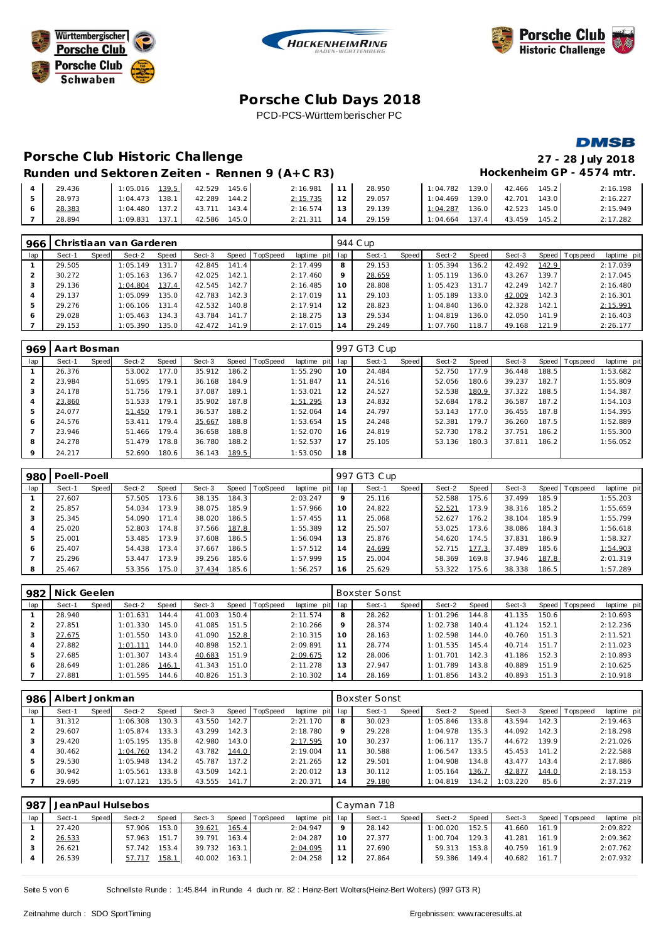





**DMSB** 

## **Porsche C lub Days 2018** PCD-PCS-Württemberischer PC

## **Porsche C lub Historic Challenge 27 - 28 July 2018**

#### Runden und Sektoren Zeiten - Rennen 9 (A+C R3) Hockenheim GP - 4574 mtr.

| 29.436 | 139.5<br>1:05.016 | 42.529<br>145.6  | 2:16.981  | 11              | 28.950 | 1:04.782<br>139.0 | 145.2<br>42.466 | 2:16.198 |
|--------|-------------------|------------------|-----------|-----------------|--------|-------------------|-----------------|----------|
| 28.973 | 138.1<br>1:04.473 | 144.2<br>42.289  | 2:15.735  |                 | 29.057 | 139.0<br>1:04.469 | 143.0<br>42.701 | 2:16.227 |
| 28.383 | 1:04.480 137.2    | 43.711 143.4     | 2:16.574  | 13 <sup>1</sup> | 29.139 | 1:04.287<br>136.0 | 42.523<br>145.0 | 2:15.949 |
| 28.894 | 137.1<br>1:09.831 | 145.01<br>42.586 | 2: 21.311 | 14              | 29.159 | 137.4<br>1:04.664 | 145.2<br>43.459 | 2:17.282 |

| 966 |        |       | Christiaan van Garderen |       |        |       |                 |             |                | 944 C up |         |          |       |        |                    |            |             |
|-----|--------|-------|-------------------------|-------|--------|-------|-----------------|-------------|----------------|----------|---------|----------|-------|--------|--------------------|------------|-------------|
| lap | Sect-1 | Speed | Sect-2                  | Speed | Sect-3 | Speed | <b>TopSpeed</b> | laptime pit | lap            | Sect-1   | Speed I | Sect-2   | Speed | Sect-3 | Speed I            | T ops peed | laptime pit |
|     | 29.505 |       | 1:05.149                | 131.7 | 42.845 | 141.4 |                 | 2:17.499    | 8              | 29.153   |         | 1:05.394 | 136.2 | 42.492 | 142.9              |            | 2:17.039    |
|     | 30.272 |       | 1:05.163                | 136.7 | 42.025 | 142.1 |                 | 2:17.460    | 9              | 28.659   |         | 1:05.119 | 136.0 | 43.267 | 139.7 <sub>1</sub> |            | 2:17.045    |
| 3   | 29.136 |       | 1:04.804                | 137.4 | 42.545 | 142.7 |                 | 2:16.485    | 10             | 28,808   |         | 1:05.423 | 131.7 | 42.249 | 142.7              |            | 2:16.480    |
|     | 29.137 |       | 1:05.099                | 135.0 | 42.783 | 142.3 |                 | 2:17.019    |                | 29.103   |         | 1:05.189 | 133.0 | 42.009 | 142.3              |            | 2:16.301    |
| 5   | 29.276 |       | 1:06.106                | 131.4 | 42.532 | 140.8 |                 | 2:17.914    | 12             | 28.823   |         | 1:04.840 | 136.0 | 42.328 | 142.1              |            | 2:15.991    |
| 6   | 29.028 |       | 1:05.463                | 134.3 | 43.784 | 141.7 |                 | 2:18.275    | 13             | 29.534   |         | 1:04.819 | 136.0 | 42.050 | 141.9              |            | 2:16.403    |
|     | 29.153 |       | 1:05.390                | 135.0 | 42.472 | 141.9 |                 | 2:17.015    | $\overline{4}$ | 29.249   |         | 1:07.760 | 118.7 | 49.168 | 121.91             |            | 2:26.177    |

| 969 | Aart Bosman |       |        |       |        |       |                 |             |     | 997 GT3 Cup |       |        |       |        |       |                 |             |
|-----|-------------|-------|--------|-------|--------|-------|-----------------|-------------|-----|-------------|-------|--------|-------|--------|-------|-----------------|-------------|
| lap | Sect-1      | Speed | Sect-2 | Speed | Sect-3 | Speed | <b>TopSpeed</b> | laptime pit | lap | Sect-1      | Speed | Sect-2 | Speed | Sect-3 |       | Speed Tops peed | laptime pit |
|     | 26.376      |       | 53.002 | 177.0 | 35.912 | 186.2 |                 | 1:55.290    | 10  | 24.484      |       | 52.750 | 177.9 | 36.448 | 188.5 |                 | 1:53.682    |
|     | 23.984      |       | 51.695 | 179.1 | 36.168 | 184.9 |                 | 1:51.847    | 11  | 24.516      |       | 52.056 | 180.6 | 39.237 | 182.7 |                 | 1:55.809    |
|     | 24.178      |       | 51.756 | 179.1 | 37.087 | 189.1 |                 | 1:53.021    | 12  | 24.527      |       | 52.538 | 180.9 | 37.322 | 188.5 |                 | 1:54.387    |
|     | 23.860      |       | 51.533 | 179.1 | 35.902 | 187.8 |                 | 1:51.295    | 13  | 24.832      |       | 52.684 | 178.2 | 36.587 | 187.2 |                 | 1:54.103    |
|     | 24.077      |       | 51.450 | 179.1 | 36.537 | 188.2 |                 | 1:52.064    | 14  | 24.797      |       | 53.143 | 177.0 | 36.455 | 187.8 |                 | 1:54.395    |
| 6   | 24.576      |       | 53.411 | 179.4 | 35.667 | 188.8 |                 | 1:53.654    | 15  | 24.248      |       | 52.381 | 179.7 | 36.260 | 187.5 |                 | 1:52.889    |
|     | 23.946      |       | 51.466 | 179.4 | 36.658 | 188.8 |                 | 1:52.070    | 16  | 24.819      |       | 52.730 | 178.2 | 37.751 | 186.2 |                 | 1:55.300    |
| 8   | 24.278      |       | 51.479 | 178.8 | 36.780 | 188.2 |                 | 1:52.537    | 17  | 25.105      |       | 53.136 | 180.3 | 37.811 | 186.2 |                 | 1:56.052    |
|     | 24.217      |       | 52.690 | 180.6 | 36.143 | 189.5 |                 | 1:53.050    | 18  |             |       |        |       |        |       |                 |             |

| 980 | Poell-Poell |       |        |       |        |       |                |             |     | 997 GT3 Cup |              |        |       |        |       |                 |             |
|-----|-------------|-------|--------|-------|--------|-------|----------------|-------------|-----|-------------|--------------|--------|-------|--------|-------|-----------------|-------------|
| lap | Sect-1      | Speed | Sect-2 | Speed | Sect-3 |       | Speed TopSpeed | laptime pit | lap | Sect-1      | <b>Speed</b> | Sect-2 | Speed | Sect-3 |       | Speed Tops peed | laptime pit |
|     | 27.607      |       | 57.505 | 173.6 | 38.135 | 184.3 |                | 2:03.247    | 9   | 25.116      |              | 52.588 | 175.6 | 37.499 | 185.9 |                 | 1:55.203    |
|     | 25.857      |       | 54.034 | 173.9 | 38.075 | 185.9 |                | 1:57.966    | 10  | 24.822      |              | 52.521 | 173.9 | 38.316 | 185.2 |                 | 1:55.659    |
| 3   | 25.345      |       | 54.090 | 171.4 | 38.020 | 186.5 |                | 1:57.455    | 11  | 25.068      |              | 52.627 | 176.2 | 38.104 | 185.9 |                 | 1:55.799    |
| 4   | 25.020      |       | 52.803 | 174.8 | 37.566 | 187.8 |                | 1:55.389    | 12  | 25.507      |              | 53.025 | 173.6 | 38.086 | 184.3 |                 | 1:56.618    |
| 5   | 25.001      |       | 53.485 | 173.9 | 37.608 | 186.5 |                | 1:56.094    | 13  | 25.876      |              | 54.620 | 174.5 | 37.831 | 186.9 |                 | 1:58.327    |
| 6   | 25.407      |       | 54.438 | 173.4 | 37.667 | 186.5 |                | 1:57.512    | 14  | 24.699      |              | 52.715 | 177.3 | 37.489 | 185.6 |                 | 1:54.903    |
|     | 25.296      |       | 53.447 | 173.9 | 39.256 | 185.6 |                | 1:57.999    | 15  | 25.004      |              | 58.369 | 169.8 | 37.946 | 187.8 |                 | 2:01.319    |
| 8   | 25.467      |       | 53.356 | 175.0 | 37.434 | 185.6 |                | 1:56.257    | 16  | 25.629      |              | 53.322 | 175.6 | 38.338 | 186.5 |                 | 1:57.289    |

| 982 | Nick Geelen |       |          |       |        |       |          |             |     | <b>Boxster Sonst</b> |       |          |       |        |       |                |             |
|-----|-------------|-------|----------|-------|--------|-------|----------|-------------|-----|----------------------|-------|----------|-------|--------|-------|----------------|-------------|
| lap | Sect-1      | Speed | Sect-2   | Speed | Sect-3 | Speed | TopSpeed | laptime pit | lap | Sect-1               | Speed | Sect-2   | Speed | Sect-3 |       | Speed Topspeed | laptime pit |
|     | 28.940      |       | 1:01.631 | 144.4 | 41.003 | 150.4 |          | 2:11.574    | 8   | 28.262               |       | 1:01.296 | 144.8 | 41.135 | 150.6 |                | 2:10.693    |
|     | 27.851      |       | 1:01.330 | 145.0 | 41.085 | 151.5 |          | 2:10.266    | Q   | 28.374               |       | 1:02.738 | 140.4 | 41.124 | 152.1 |                | 2:12.236    |
|     | 27.675      |       | 1:01.550 | 143.0 | 41.090 | 152.8 |          | 2:10.315    | 10  | 28.163               |       | 1:02.598 | 144.0 | 40.760 | 151.3 |                | 2:11.521    |
|     | 27.882      |       | 1:01.111 | 144.0 | 40.898 | 152.1 |          | 2:09.891    | 11  | 28.774               |       | 1:01.535 | 145.4 | 40.714 | 151.7 |                | 2:11.023    |
|     | 27.685      |       | 1:01.307 | 143.4 | 40.683 | 151.9 |          | 2:09.675    | 12  | 28.006               |       | 1:01.701 | 142.3 | 41.186 | 152.3 |                | 2:10.893    |
| 6   | 28.649      |       | 1:01.286 | 146.1 | 41.343 | 151.0 |          | 2:11.278    | 13  | 27.947               |       | 1:01.789 | 143.8 | 40.889 | 151.9 |                | 2:10.625    |
|     | 27.881      |       | 1:01.595 | 144.6 | 40.826 | 151.3 |          | 2:10.302    | 14  | 28.169               |       | 1:01.856 | 143.2 | 40.893 | 151.3 |                | 2:10.918    |

| 986 | Albert Jonkman |       |          |       |        |       |          |             |         | <b>Boxster Sonst</b> |              |          |       |          |       |            |             |
|-----|----------------|-------|----------|-------|--------|-------|----------|-------------|---------|----------------------|--------------|----------|-------|----------|-------|------------|-------------|
| lap | Sect-1         | Speed | Sect-2   | Speed | Sect-3 | Speed | TopSpeed | laptime pit | lap     | Sect-1               | <b>Speed</b> | Sect-2   | Speed | Sect-3   | Speed | T ops peed | laptime pit |
|     | 31.312         |       | 1:06.308 | 130.3 | 43.550 | 142.7 |          | 2:21.170    | 8       | 30.023               |              | 1:05.846 | 133.8 | 43.594   | 142.3 |            | 2:19.463    |
|     | 29.607         |       | 1:05.874 | 133.3 | 43.299 | 142.3 |          | 2:18.780    | $\circ$ | 29.228               |              | 1:04.978 | 135.3 | 44.092   | 142.3 |            | 2:18.298    |
|     | 29.420         |       | 1:05.195 | 35.8  | 42.980 | 143.0 |          | 2:17.595    | 10      | 30.237               |              | 1:06.117 | 135.7 | 44.672   | 139.9 |            | 2:21.026    |
|     | 30.462         |       | 1:04.760 | 134.2 | 43.782 | 144.0 |          | 2:19.004    | 11      | 30.588               |              | 1:06.547 | 133.5 | 45.453   | 141.2 |            | 2:22.588    |
|     | 29.530         |       | 1:05.948 | 134.2 | 45.787 | 137.2 |          | 2:21.265    | 12      | 29.501               |              | 1:04.908 | 134.8 | 43.477   | 143.4 |            | 2:17.886    |
|     | 30.942         |       | 1:05.561 | 133.8 | 43.509 | 142.1 |          | 2:20.012    | 13      | 30.112               |              | 1:05.164 | 136.7 | 42.877   | 144.0 |            | 2:18.153    |
|     | 29.695         |       | 1:07.121 | 35.5  | 43.555 | 141.7 |          | 2:20.371    | 14      | 29.180               |              | 1:04.819 | 134.2 | 1:03.220 | 85.6  |            | 2:37.219    |

| 987 |        |       | JeanPaul Hulsebos |               |        |       |                |                 |    | Cayman 718 |         |          |       |        |       |                 |             |
|-----|--------|-------|-------------------|---------------|--------|-------|----------------|-----------------|----|------------|---------|----------|-------|--------|-------|-----------------|-------------|
| lap | Sect-1 | Speed | Sect-2            | Speed         | Sect-3 |       | Speed TopSpeed | laptime pit lap |    | Sect-1     | Speed I | Sect-2   | Speed | Sect-3 |       | Speed Tops peed | laptime pit |
|     | 27.420 |       | 57.906            | 153.0         | 39.621 | 165.4 |                | 2:04.947        |    | 28.142     |         | 1:00.020 | 152.5 | 41.660 | 161.9 |                 | 2:09.822    |
|     | 26.533 |       | 57.963            | 151.7         | 39.791 | 163.4 |                | 2:04.287        |    | 27.377     |         | 1:00.704 | 129.3 | 41.281 | 161.9 |                 | 2:09.362    |
|     | 26.621 |       | 57.742            | 153.4         | 39.732 | 163.1 |                | 2:04.095        |    | 27.690     |         | 59.313   | 153.8 | 40.759 | 161.9 |                 | 2:07.762    |
|     | 26.539 |       | 57.717            | <u> 158.1</u> | 40.002 | 163.1 |                | 2:04.258        | 12 | 27.864     |         | 59.386   | 149.4 | 40.682 | 161.7 |                 | 2:07.932    |
|     |        |       |                   |               |        |       |                |                 |    |            |         |          |       |        |       |                 |             |

Seite 5 von 6 Schnellste Runde : 1:45.844 in Runde 4 duch nr. 82 : Heinz-Bert Wolters(Heinz-Bert Wolters) (997 GT3 R)